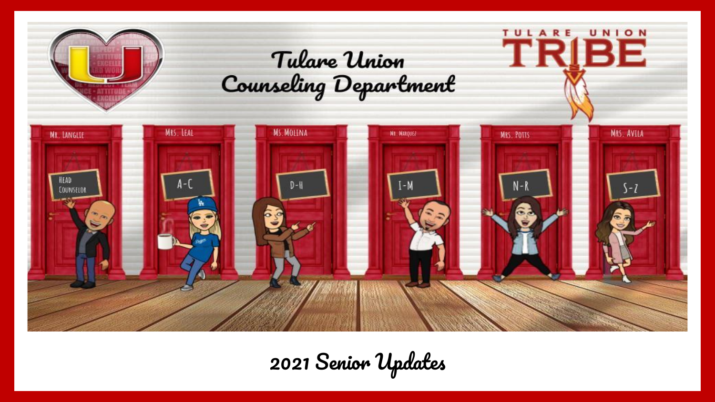

2021 Senior Updates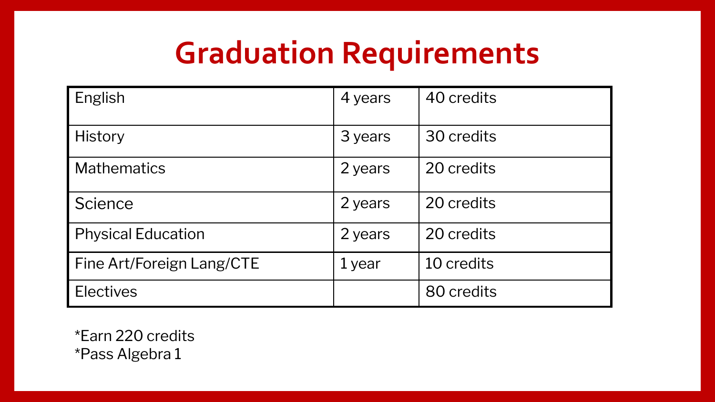## **Graduation Requirements**

| English                   | 4 years | 40 credits |
|---------------------------|---------|------------|
| <b>History</b>            | 3 years | 30 credits |
| <b>Mathematics</b>        | 2 years | 20 credits |
| Science                   | 2 years | 20 credits |
| <b>Physical Education</b> | 2 years | 20 credits |
| Fine Art/Foreign Lang/CTE | 1 year  | 10 credits |
| <b>Electives</b>          |         | 80 credits |

\*Earn 220 credits \*Pass Algebra 1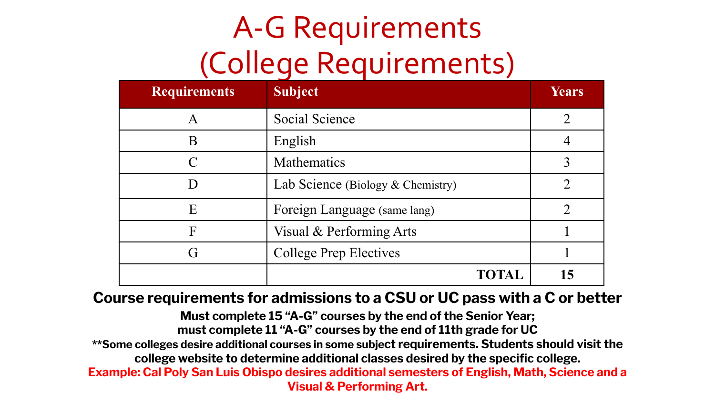## A-G Requirements (College Requirements)

| <b>Requirements</b> | <b>Subject</b>                    | <b>Years</b> |
|---------------------|-----------------------------------|--------------|
| Α                   | Social Science                    |              |
| В                   | English                           |              |
|                     | Mathematics                       |              |
|                     | Lab Science (Biology & Chemistry) |              |
| E                   | Foreign Language (same lang)      |              |
| F                   | Visual & Performing Arts          |              |
|                     | College Prep Electives            |              |
|                     | TOTAL                             | 15           |

**Course requirements for admissions to a CSU or UC pass with a C or better**

**Must complete 15 "A-G" courses by the end of the Senior Year; must complete 11 "A-G" courses by the end of 11th grade for UC \*\*Some colleges desire additional courses in some subject requirements. Students should visit the college website to determine additional classes desired by the specific college. Example: Cal Poly San Luis Obispo desires additional semesters of English, Math, Science and a Visual & Performing Art.**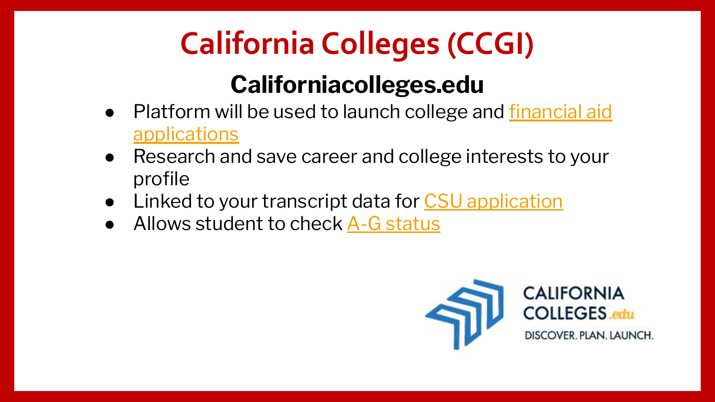# **California Colleges (CCGI)**

#### **Californiacolleges.edu**

- Platform will be used to launch college and [financial aid](https://www.youtube.com/watch?v=d0EzRU-ixkA&t=2s) [applications](https://www.youtube.com/watch?v=d0EzRU-ixkA&t=2s)
- Research and save career and college interests to your profile
- Linked to your transcript data for [CSU application](https://www.youtube.com/watch?v=BqImMSySWdA)
- Allows student to check [A-G status](https://youtu.be/zE1qTqww82U)

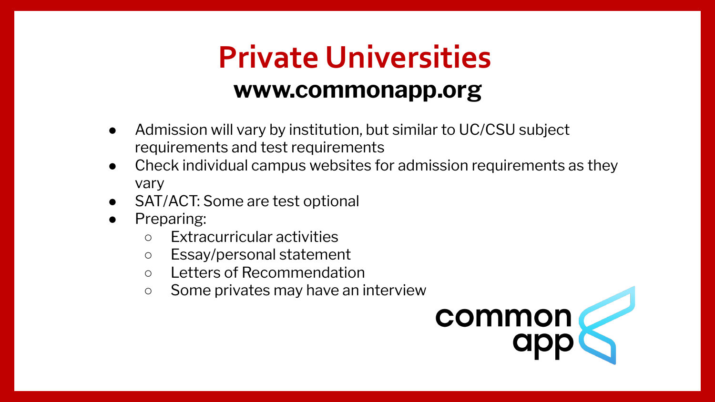#### **Private Universities www.commonapp.org**

- Admission will vary by institution, but similar to UC/CSU subject requirements and test requirements
- Check individual campus websites for admission requirements as they vary
- SAT/ACT: Some are test optional
- Preparing:
	- Extracurricular activities
	- Essay/personal statement
	- Letters of Recommendation
	- Some privates may have an interview

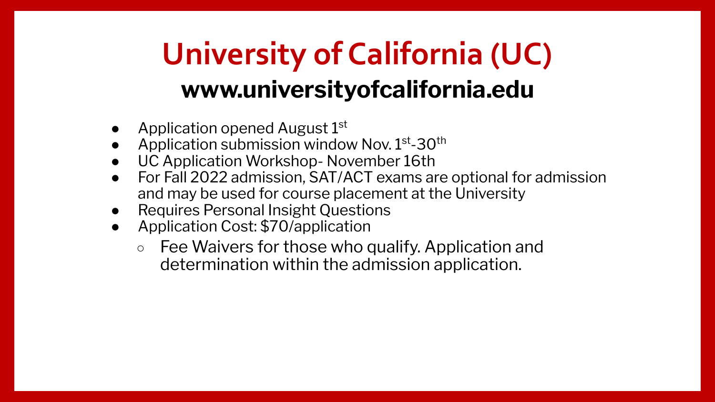#### **University of California (UC) www.universityofcalifornia.edu**

- Application opened August  $1<sup>st</sup>$
- Application submission window Nov.  $1<sup>st</sup> 30<sup>th</sup>$
- UC Application Workshop- November 16th
- For Fall 2022 admission, SAT/ACT exams are optional for admission and may be used for course placement at the University
- **Requires Personal Insight Questions**
- Application Cost: \$70/application
	- Fee Waivers for those who qualify. Application and determination within the admission application.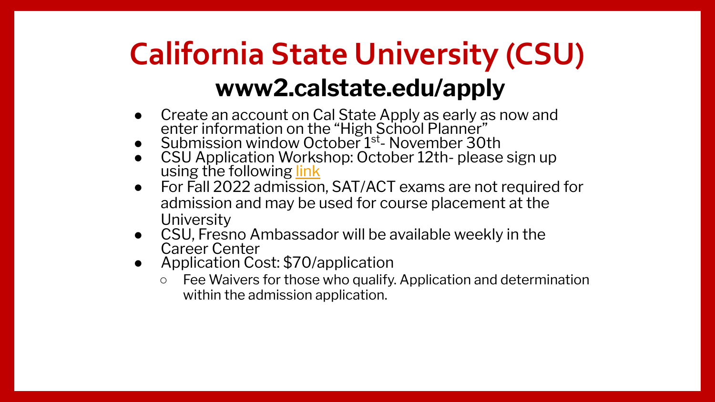#### **California State University (CSU) www2.calstate.edu/apply**

- Create an account on Cal State Apply as early as now and enter information on the "High School Planner"
- $\bullet$  Submission window October  $1<sup>st</sup>$  November 30th
- CSU Application Workshop: October 12th- please sign up using the following [link](https://docs.google.com/forms/d/1sOxYuj-lQw2-zgKGBfqqm8GLFtNoGTdjvfo50qgaiHI/edit?ts=61324556)
- For Fall 2022 admission, SAT/ACT exams are not required for admission and may be used for course placement at the **University**
- CSU, Fresno Ambassador will be available weekly in the Career Center
- Application Cost: \$70/application
	- Fee Waivers for those who qualify. Application and determination within the admission application.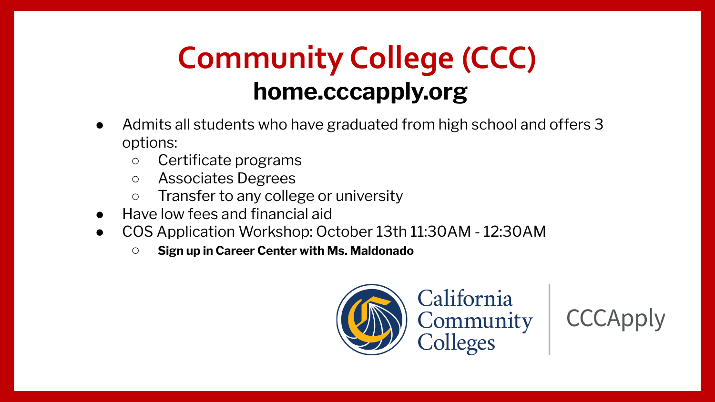#### **Community College (CCC) home.cccapply.org**

- Admits all students who have graduated from high school and offers 3 options:
	- Certificate programs
	- Associates Degrees
	- Transfer to any college or university
- Have low fees and financial aid
- COS Application Workshop: October 13th 11:30AM 12:30AM
	- **Sign up in Career Center with Ms. Maldonado**



**CCCApply**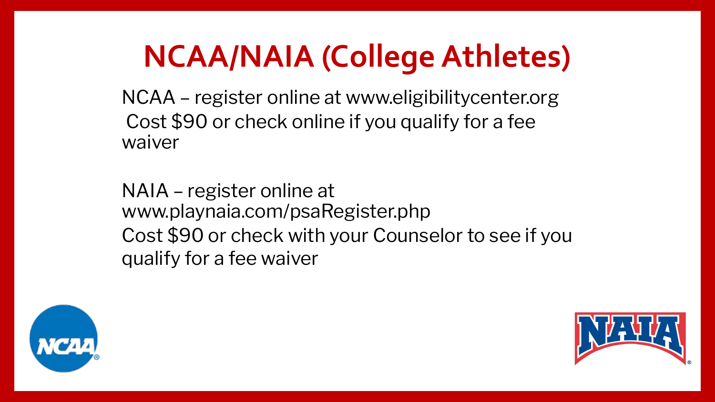## **NCAA/NAIA (College Athletes)**

NCAA – register online at www.eligibilitycenter.org Cost \$90 or check online if you qualify for a fee waiver

NAIA – register online at www.playnaia.com/psaRegister.php Cost \$90 or check with your Counselor to see if you qualify for a fee waiver



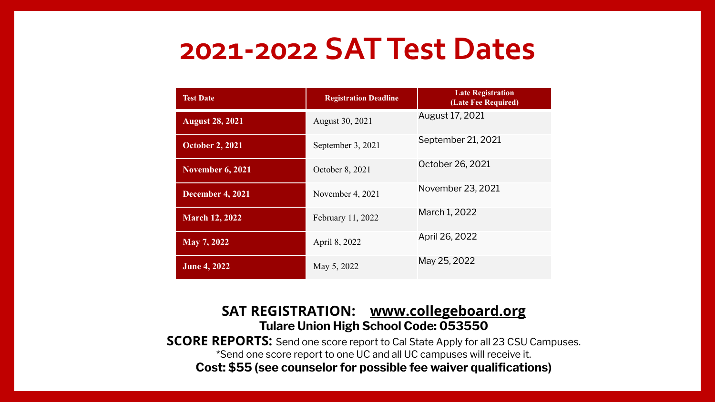#### **2021-2022 SAT Test Dates**

| <b>Test Date</b>        | <b>Registration Deadline</b> | <b>Late Registration</b><br>(Late Fee Required) |
|-------------------------|------------------------------|-------------------------------------------------|
| <b>August 28, 2021</b>  | August 30, 2021              | August 17, 2021                                 |
| <b>October 2, 2021</b>  | September 3, 2021            | September 21, 2021                              |
| <b>November 6, 2021</b> | October 8, 2021              | October 26, 2021                                |
| <b>December 4, 2021</b> | November 4, 2021             | November 23, 2021                               |
| <b>March 12, 2022</b>   | February 11, 2022            | March 1, 2022                                   |
| May 7, 2022             | April 8, 2022                | April 26, 2022                                  |
| <b>June 4, 2022</b>     | May 5, 2022                  | May 25, 2022                                    |

#### **SAT REGISTRATION: [www.collegeboard.org](http://www.collegeboard.org) Tulare Union High School Code: 053550**

**SCORE REPORTS:** Send one score report to Cal State Apply for all 23 CSU Campuses. \*Send one score report to one UC and all UC campuses will receive it.

**Cost: \$55 (see counselor for possible fee waiver qualifications)**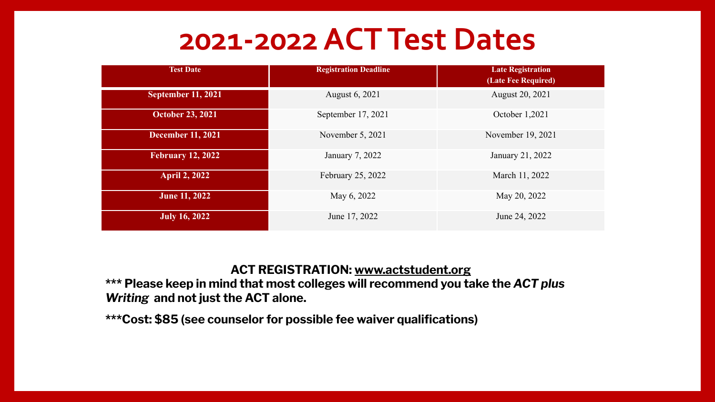#### **2021-2022 ACT Test Dates**

| <b>Test Date</b>          | <b>Registration Deadline</b> | <b>Late Registration</b><br>(Late Fee Required) |
|---------------------------|------------------------------|-------------------------------------------------|
| <b>September 11, 2021</b> | August 6, 2021               | August 20, 2021                                 |
| <b>October 23, 2021</b>   | September 17, 2021           | October 1,2021                                  |
| <b>December 11, 2021</b>  | November 5, 2021             | November 19, 2021                               |
| <b>February 12, 2022</b>  | January 7, 2022              | January 21, 2022                                |
| <b>April 2, 2022</b>      | February 25, 2022            | March 11, 2022                                  |
| <b>June 11, 2022</b>      | May 6, 2022                  | May 20, 2022                                    |
| <b>July 16, 2022</b>      | June 17, 2022                | June 24, 2022                                   |

#### **ACT REGISTRATION: www.actstudent.org**

**\*\*\* Please keep in mind that most colleges will recommend you take the** *ACT plus Writing* **and not just the ACT alone.** 

**\*\*\*Cost: \$85 (see counselor for possible fee waiver qualifications)**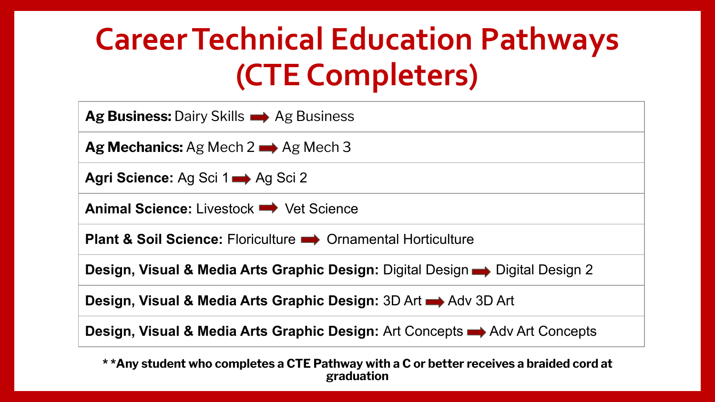## **Career Technical Education Pathways (CTE Completers)**

| Ag Business: Dairy Skills $\rightarrow$ Ag Business                                                |
|----------------------------------------------------------------------------------------------------|
| Ag Mechanics: Ag Mech $2 \implies$ Ag Mech 3                                                       |
| Agri Science: Ag Sci 1 Ag Sci 2                                                                    |
| <b>Animal Science:</b> Livestock $\rightarrow$ Vet Science                                         |
| <b>Plant &amp; Soil Science: Floriculture • Ornamental Horticulture</b>                            |
| Design, Visual & Media Arts Graphic Design: Digital Design $\rightarrow$ Digital Design 2          |
| <b>Design, Visual &amp; Media Arts Graphic Design: 3D Art Adv 3D Art</b>                           |
| <b>Design, Visual &amp; Media Arts Graphic Design:</b> Art Concepts $\rightarrow$ Adv Art Concepts |

**\* \*Any student who completes a CTE Pathway with a C or better receives a braided cord at graduation**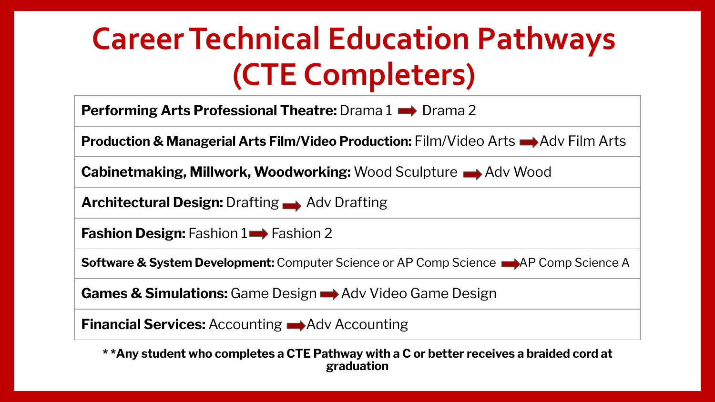### **Career Technical Education Pathways (CTE Completers)**

| <b>Performing Arts Professional Theatre:</b> Drama $1 \rightarrow$ Drama 2                                                                |
|-------------------------------------------------------------------------------------------------------------------------------------------|
| <b>Production &amp; Managerial Arts Film/Video Production:</b> Film/Video Arts $\rightarrow$ Adv Film Arts                                |
| <b>Cabinetmaking, Millwork, Woodworking: Wood Sculpture Adv Wood</b>                                                                      |
| <b>Architectural Design: Drafting Adv Drafting</b>                                                                                        |
| <b>Fashion Design:</b> Fashion $1 \rightarrow$ Fashion 2                                                                                  |
| <b>Software &amp; System Development:</b> Computer Science or AP Comp Science <b>Netware &amp; System Development:</b> Computer Science A |
| <b>Games &amp; Simulations:</b> Game Design $\rightarrow$ Adv Video Game Design                                                           |

**Financial Services:** Accounting  $\rightarrow$  Adv Accounting

**\* \*Any student who completes a CTE Pathway with a C or better receives a braided cord at graduation**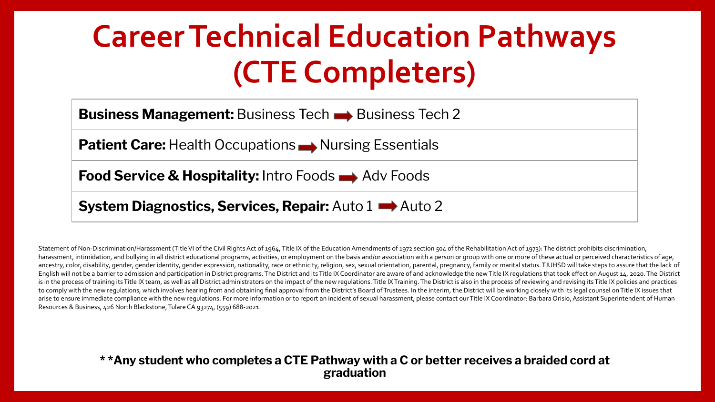### **Career Technical Education Pathways (CTE Completers)**

**Business Management:** Business Tech **Business Tech 2** 

**Patient Care:** Health Occupations Nursing Essentials

**Food Service & Hospitality:** Intro Foods Adv Foods

**System Diagnostics, Services, Repair:** Auto 1  $\rightarrow$  Auto 2

Statement of Non-Discrimination/Harassment (Title VI of the Civil Rights Act of 1964, Title IX of the Education Amendments of 1972 section 504 of the Rehabilitation Act of 1973): The district prohibits discrimination. harassment, intimidation, and bullying in all district educational programs, activities, or employment on the basis and/or association with a person or group with one or more of these actual or perceived characteristics of ancestry, color, disability, gender, gender identity, gender expression, nationality, race or ethnicity, religion, sex, sexual orientation, parental, pregnancy, family or marital status. TJUHSD will take steps to assure th English will not be a barrier to admission and participation in District programs. The District and its Title IX Coordinator are aware of and acknowledge the new Title IX regulations that took effect on August 14, 2020. Th is in the process of training its Title IX team, as well as all District administrators on the impact of the new regulations. Title IX Training. The District is also in the process of reviewing and revising its Title IX po to comply with the new regulations, which involves hearing from and obtaining final approval from the District's Board of Trustees. In the interim, the District's No libe working closely with its legal counsel on Title IX arise to ensure immediate compliance with the new regulations. For more information or to report an incident of sexual harassment, please contact our Title IX Coordinator: Barbara Orisio, Assistant Superintendent of Human Resources & Business, 426 North Blackstone, Tulare CA 93274, (559) 688-2021.

#### **\* \*Any student who completes a CTE Pathway with a C or better receives a braided cord at graduation**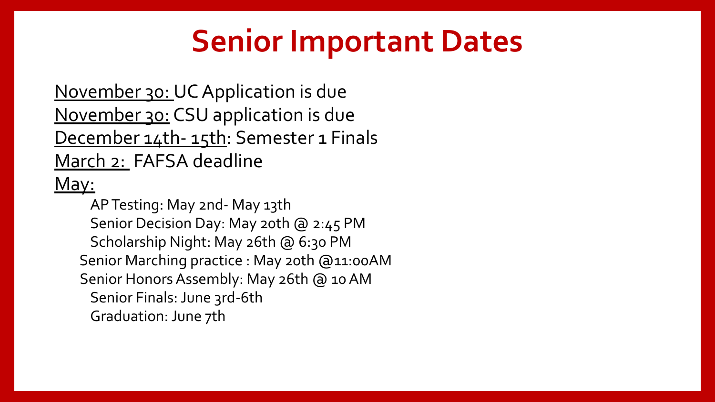#### **Senior Important Dates**

November 30: UC Application is due November 30: CSU application is due December 14th- 15th: Semester 1 Finals March 2: FAFSA deadline May:

AP Testing: May 2nd- May 13th Senior Decision Day: May 20th @ 2:45 PM Scholarship Night: May 26th @ 6:30 PM Senior Marching practice : May 20th @11:00AM Senior Honors Assembly: May 26th @ 10 AM Senior Finals: June 3rd-6th Graduation: June 7th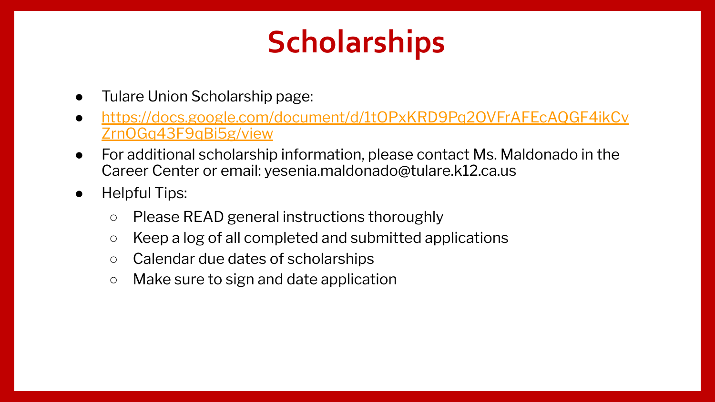### **Scholarships**

- Tulare Union Scholarship page:
- [https://docs.google.com/document/d/1tOPxKRD9Pq2OVFrAFEcAQGF4ikCv](https://docs.google.com/document/d/1tOPxKRD9Pq2OVFrAFEcAQGF4ikCvZrnOGq43F9qBi5g/view) [ZrnOGq43F9qBi5g/view](https://docs.google.com/document/d/1tOPxKRD9Pq2OVFrAFEcAQGF4ikCvZrnOGq43F9qBi5g/view)
- For additional scholarship information, please contact Ms. Maldonado in the Career Center or email: [yesenia.maldonado@tulare.k12.ca.us](mailto:yesenia.maldonado@tulare.k12.ca.us)
- Helpful Tips:
	- Please READ general instructions thoroughly
	- Keep a log of all completed and submitted applications
	- Calendar due dates of scholarships
	- Make sure to sign and date application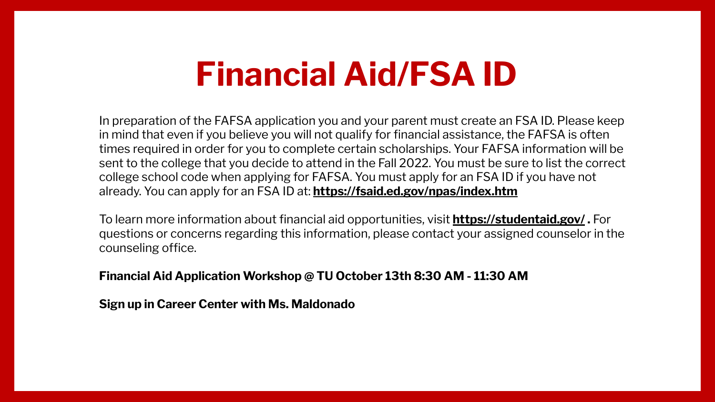#### **Financial Aid/FSA ID**

In preparation of the FAFSA application you and your parent must create an FSA ID. Please keep in mind that even if you believe you will not qualify for financial assistance, the FAFSA is often times required in order for you to complete certain scholarships. Your FAFSA information will be sent to the college that you decide to attend in the Fall 2022. You must be sure to list the correct college school code when applying for FAFSA. You must apply for an FSA ID if you have not already. You can apply for an FSA ID at: **<https://fsaid.ed.gov/npas/index.htm>**

To learn more information about financial aid opportunities, visit **<https://studentaid.gov/> .** For questions or concerns regarding this information, please contact your assigned counselor in the counseling office.

**Financial Aid Application Workshop @ TU October 13th 8:30 AM - 11:30 AM**

**Sign up in Career Center with Ms. Maldonado**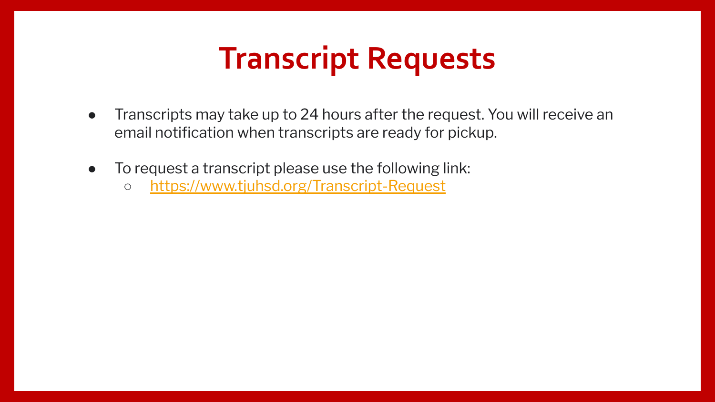#### **Transcript Requests**

- Transcripts may take up to 24 hours after the request. You will receive an email notification when transcripts are ready for pickup.
- To request a transcript please use the following link:
	- <https://www.tjuhsd.org/Transcript-Request>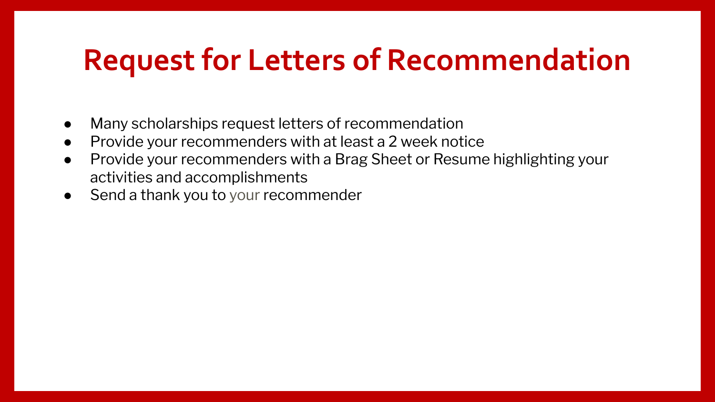#### **Request for Letters of Recommendation**

- Many scholarships request letters of recommendation
- Provide your recommenders with at least a 2 week notice
- Provide your recommenders with a Brag Sheet or Resume highlighting your activities and accomplishments
- Send a thank you to your recommender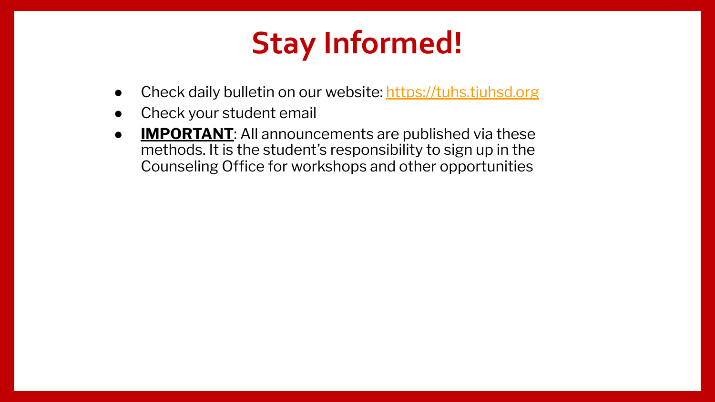## **Stay Informed!**

- Check daily bulletin on our website: <https://tuhs.tjuhsd.org>
- Check your student email
- **IMPORTANT:** All announcements are published via these methods. It is the student's responsibility to sign up in the Counseling Office for workshops and other opportunities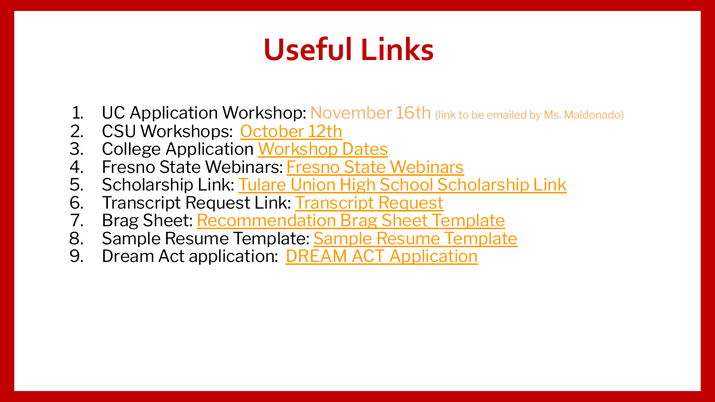## **Useful Links**

- **1. UC Application Workshop: November 16th** (link to be emailed by Ms. Maldonado)
- 2. CSU Workshops: [October 12th](https://docs.google.com/forms/d/1sOxYuj-lQw2-zgKGBfqqm8GLFtNoGTdjvfo50qgaiHI/edit?ts=61324556)
- 3. College Application [Workshop Dates](https://drive.google.com/file/d/1_CNQQqJVL4ofqyRKvexb_TCTua_GVRiL/view?usp=sharing)
- 4. [Fresno State Webinars](http://fresnostate.edu/studentaffairs/are/events/applicationhelp.html): Fresno State Webinars
- 5. Scholarship Link: [Tulare Union High School Scholarship Link](https://docs.google.com/document/d/1tOPxKRD9Pq2OVFrAFEcAQGF4ikCvZrnOGq43F9qBi5g/edit?usp=sharing)
- 6. [Transcript Request](https://www.tjuhsd.org/Transcript-Request) Link: Transcript Request
- 7. Brag Sheet: [Recommendation Brag Sheet Template](https://drive.google.com/file/d/1lIsr9ovpMyEI87R7Yb9LFGLAP8swl06r/view?usp=sharing)
- 8. [Sample Resume Template](https://drive.google.com/file/d/1bTwV889woQ_lEWFRTrOB8T4lHkmx9gpQ/view?usp=sharing): Sample Resume Template
- 9. Dream Act application: **[DREAM ACT Application](https://dream.csac.ca.gov/)**